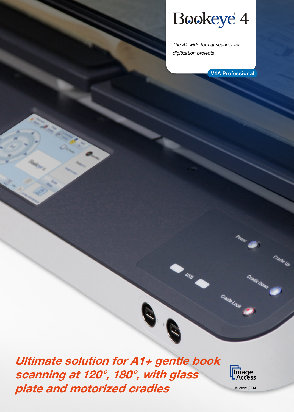Bookeye<sup>4</sup>

*The A1 wide format scanner for digitization projects*

**V1A Professional**

Ultimate solution for A1+ gentle book scanning at 120°, 180°, with glass plate and motorized cradles

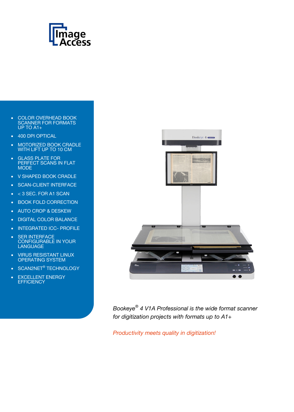

- COLOR OVERHEAD BOOK SCANNER FOR FORMATS UP TO A1+
- 400 DPI OPTICAL
- MOTORIZED BOOK CRADLE WITH LIFT UP TO 10 CM
- GLASS PLATE FOR PERFECT SCANS IN FLAT **MODE**
- V SHAPED BOOK CRADLE
- SCAN-CLIENT INTERFACE
- < 3 SEC. FOR A1 SCAN
- BOOK FOLD CORRECTION
- AUTO CROP & DESKEW
- DIGITAL COLOR BALANCE
- INTEGRATED ICC- PROFILE
- SER INTERFACE CONFIGURABLE IN YOUR LANGUAGE
- VIRUS RESISTANT LINUX OPERATING SYSTEM
- SCAN2NET<sup>®</sup> TECHNOLOGY
- EXCELLENT ENERGY **EFFICIENCY**



*Bookeye® 4 V1A Professional is the wide format scanner for digitization projects with formats up to A1+*

*Productivity meets quality in digitization!*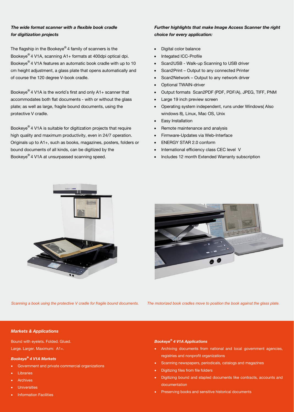# *The wide format scanner with a flexible book cradle for digitization projects*

The flagship in the Bookeye® 4 family of scanners is the Bookeye® 4 V1A, scanning A1+ formats at 400dpi optical dpi. Bookeye® 4 V1A features an automatic book cradle with up to 10 cm height adjustment, a glass plate that opens automatically and of course the 120 degree V-book cradle.

Bookeye<sup>®</sup> 4 V1A is the world's first and only  $A1+$  scanner that accommodates both flat documents - with or without the glass plate; as well as large, fragile bound documents, using the protective V cradle.

Bookeye® 4 V1A is suitable for digitization projects that require high quality and maximum productivity, even in 24/7 operation. Originals up to A1+, such as books, magazines, posters, folders or bound documents of all kinds, can be digitized by the Bookeye® 4 V1A at unsurpassed scanning speed.

# *Further highlights that make Image Access Scanner the right choice for every application:*

- Digital color balance
- Integated ICC-Profile
- Scan2USB Walk-up Scanning to USB driver
- Scan2Print Output to any connected Printer
- Scan2Network Output to any network driver
- Optional TWAIN-driver
- Output formats Scan2PDF (PDF, PDF/A), JPEG, TIFF, PNM
- Large 19 inch preview screen
- Operating system independent, runs under Windows( Also windows 8), Linux, Mac OS, Unix
- **Easy Installation**
- Remote maintenance and analysis
- Firmware-Updates via Web-Interface
- ENERGY STAR 2.0 conform
- International efficiency class CEC level V
- Includes 12 month Extended Warranty subscription



*Scanning a book using the protective V cradle for fragile bound documents. The motorized book cradles move to position the book against the glass plate.*

#### *Markets & Applications*

Bound with eyelets. Folded. Glued. Large. Larger. Maximum: A1+.

#### *Bookeye® 4 V1A Markets*

- Government and private commercial organizations
- **Libraries**
- **Archives**
- **Universities**
- Information Facilities

### *Bookeye® 4 V1A Applications*

- Archiving documents from national and local government agencies, registries and nonprofit organizations
- Scanning newspapers, periodicals, catalogs and magazines
- Digitizing files from file folders
- Digitizing bound and stapled documents like contracts, accounts and documentation
- Preserving books and sensitive historical documents